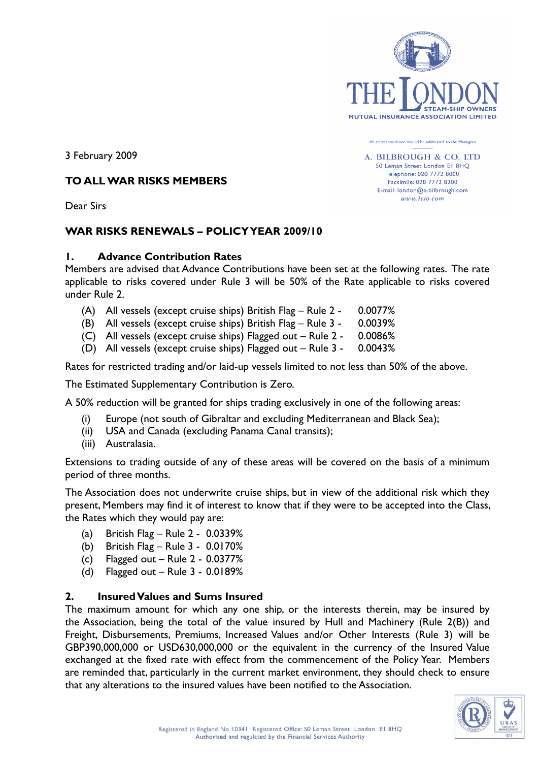

All correspondence should be addressed to the Manager A. BILBROUGH & CO. LTD 50 Leman Street London El 8HO Telephone: 020 7772 8000 Facsimile: 020 7772 8200 E-mail: london@a-bilbrough.com  $www. lso.com$ 

3 February 2009

#### **TO ALL WAR RISKS MEMBERS**

Dear Sirs

# **WAR RISKS RENEWALS – POLICY YEAR 2009/10**

#### **1. Advance Contribution Rates**

Members are advised that Advance Contributions have been set at the following rates. The rate applicable to risks covered under Rule 3 will be 50% of the Rate applicable to risks covered under Rule 2.

- (A) All vessels (except cruise ships) British Flag Rule 2 0.0077%
- (B) All vessels (except cruise ships) British Flag Rule 3 0.0039%
- (C) All vessels (except cruise ships) Flagged out Rule 2 0.0086%
- (D) All vessels (except cruise ships) Flagged out Rule 3 0.0043%

Rates for restricted trading and/or laid-up vessels limited to not less than 50% of the above.

The Estimated Supplementary Contribution is Zero.

A 50% reduction will be granted for ships trading exclusively in one of the following areas:

- (i) Europe (not south of Gibraltar and excluding Mediterranean and Black Sea);
- (ii) USA and Canada (excluding Panama Canal transits);
- (iii) Australasia.

Extensions to trading outside of any of these areas will be covered on the basis of a minimum period of three months.

The Association does not underwrite cruise ships, but in view of the additional risk which they present, Members may find it of interest to know that if they were to be accepted into the Class, the Rates which they would pay are:

- (a) British Flag Rule 2 0.0339%
- (b) British Flag Rule 3 0.0170%
- (c) Flagged out  $-$  Rule 2 0.0377%
- (d) Flagged out Rule 3 0.0189%

#### **2. Insured Values and Sums Insured**

The maximum amount for which any one ship, or the interests therein, may be insured by the Association, being the total of the value insured by Hull and Machinery (Rule 2(B)) and Freight, Disbursements, Premiums, Increased Values and/or Other Interests (Rule 3) will be GBP390,000,000 or USD630,000,000 or the equivalent in the currency of the Insured Value exchanged at the fixed rate with effect from the commencement of the Policy Year. Members are reminded that, particularly in the current market environment, they should check to ensure that any alterations to the insured values have been notified to the Association.

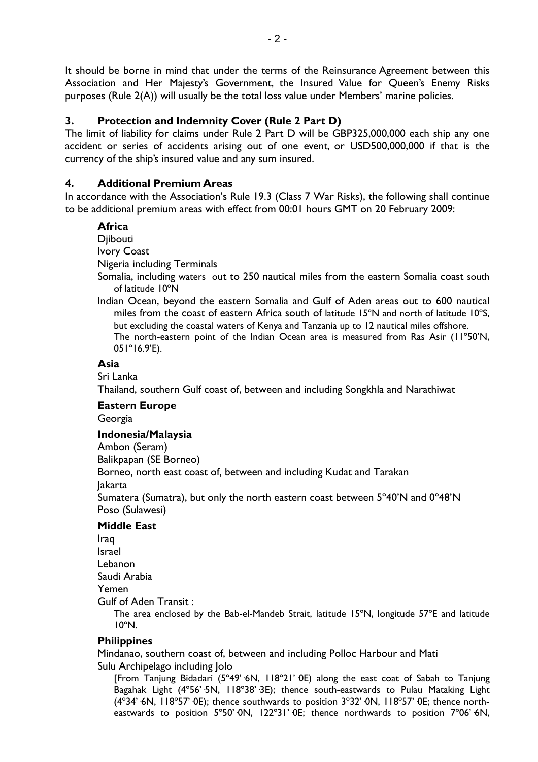It should be borne in mind that under the terms of the Reinsurance Agreement between this Association and Her Majesty's Government, the Insured Value for Queen's Enemy Risks purposes (Rule 2(A)) will usually be the total loss value under Members' marine policies.

## **3. Protection and Indemnity Cover (Rule 2 Part D)**

The limit of liability for claims under Rule 2 Part D will be GBP325,000,000 each ship any one accident or series of accidents arising out of one event, or USD500,000,000 if that is the currency of the ship's insured value and any sum insured.

## **4. Additional Premium Areas**

In accordance with the Association's Rule 19.3 (Class 7 War Risks), the following shall continue to be additional premium areas with effect from 00:01 hours GMT on 20 February 2009:

## **Africa**

**Diibouti** 

Ivory Coast

Nigeria including Terminals

- Somalia, including waters out to 250 nautical miles from the eastern Somalia coast south of latitude 10ºN
- Indian Ocean, beyond the eastern Somalia and Gulf of Aden areas out to 600 nautical miles from the coast of eastern Africa south of latitude 15ºN and north of latitude 10ºS, but excluding the coastal waters of Kenya and Tanzania up to 12 nautical miles offshore. The north-eastern point of the Indian Ocean area is measured from Ras Asir (11º50'N, 051º16.9'E).

## **Asia**

Sri Lanka

Thailand, southern Gulf coast of, between and including Songkhla and Narathiwat

#### **Eastern Europe**

Georgia

## **Indonesia/Malaysia**

Ambon (Seram)

Balikpapan (SE Borneo)

Borneo, north east coast of, between and including Kudat and Tarakan

Jakarta

Sumatera (Sumatra), but only the north eastern coast between 5º40'N and 0º48'N Poso (Sulawesi)

## **Middle East**

Iraq Israel Lebanon Saudi Arabia

Yemen

Gulf of Aden Transit :

The area enclosed by the Bab-el-Mandeb Strait, latitude 15ºN, longitude 57ºE and latitude 10ºN.

## **Philippines**

Mindanao, southern coast of, between and including Polloc Harbour and Mati Sulu Archipelago including Jolo

[From Tanjung Bidadari (5°49' 6N, 118°21' 0E) along the east coat of Sabah to Tanjung Bagahak Light (4º56'·5N, 118º38'·3E); thence south-eastwards to Pulau Mataking Light (4°34' 6N, 118°57' 0E); thence southwards to position 3°32' 0N, 118°57' 0E; thence northeastwards to position 5°50' ON, 122°31' OE; thence northwards to position 7°06' 6N,